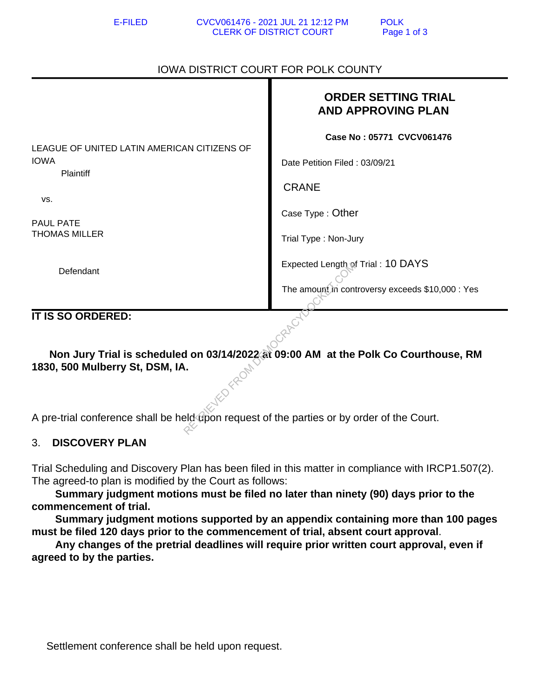## IOWA DISTRICT COURT FOR POLK COUNTY

|                                                                                                                        | <b>ORDER SETTING TRIAL</b><br><b>AND APPROVING PLAN</b> |
|------------------------------------------------------------------------------------------------------------------------|---------------------------------------------------------|
| LEAGUE OF UNITED LATIN AMERICAN CITIZENS OF                                                                            | Case No: 05771 CVCV061476                               |
| <b>IOWA</b><br>Plaintiff                                                                                               | Date Petition Filed: 03/09/21                           |
| VS.                                                                                                                    | <b>CRANE</b>                                            |
| <b>PAUL PATE</b>                                                                                                       | Case Type: Other                                        |
| <b>THOMAS MILLER</b>                                                                                                   | Trial Type: Non-Jury                                    |
| Defendant                                                                                                              | Expected Length of Trial: 10 DAYS                       |
|                                                                                                                        | The amount in controversy exceeds \$10,000 : Yes        |
| IT IS SO ORDERED:                                                                                                      |                                                         |
| Non Jury Trial is scheduled on 03/14/2022 at 09:00 AM at the Polk Co Courthouse, RM<br>1830, 500 Mulberry St, DSM, IA. |                                                         |
| A pre-trial conference shall be held upon request of the parties or by order of the Court.                             |                                                         |

## 3. **DISCOVERY PLAN**

Trial Scheduling and Discovery Plan has been filed in this matter in compliance with IRCP1.507(2). The agreed-to plan is modified by the Court as follows:

 **Summary judgment motions must be filed no later than ninety (90) days prior to the commencement of trial.**

 **Summary judgment motions supported by an appendix containing more than 100 pages must be filed 120 days prior to the commencement of trial, absent court approval**.

 **Any changes of the pretrial deadlines will require prior written court approval, even if agreed to by the parties.**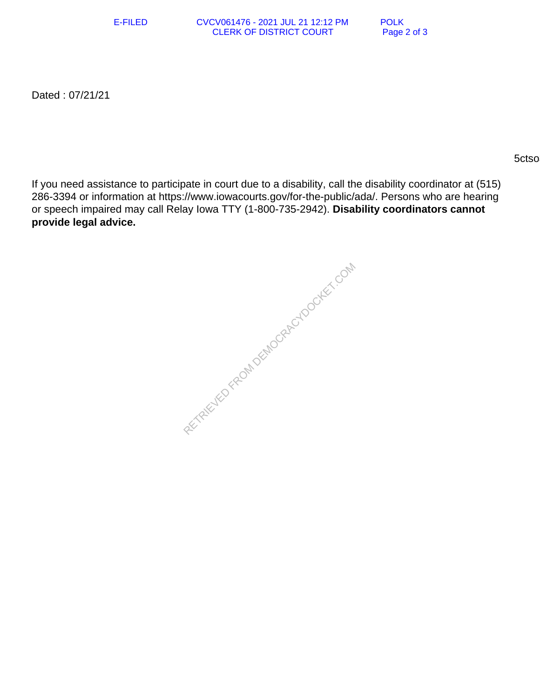E-FILED CVCV061476 - 2021 JUL 21 12:12 PM POLK<br>CLERK OF DISTRICT COURT Page 2 of 3 **CLERK OF DISTRICT COURT** 

Dated : 07/21/21

 $5c$ tso $3c$ tso $3c$ tso $3c$ tso $3c$ tso $3c$ tso $3c$ tso $3c$ 

If you need assistance to participate in court due to a disability, call the disability coordinator at (515) 286-3394 or information at https://www.iowacourts.gov/for-the-public/ada/. Persons who are hearing or speech impaired may call Relay Iowa TTY (1-800-735-2942). **Disability coordinators cannot provide legal advice.**

RETRIEVED FROM DEMOCRACYDOCKET.COM